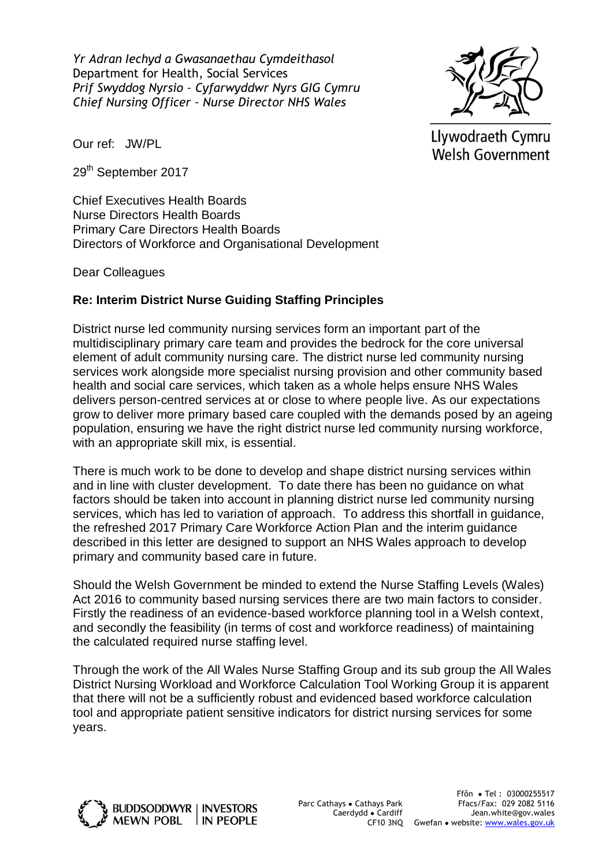*Yr Adran Iechyd a Gwasanaethau Cymdeithasol* Department for Health, Social Services *Prif Swyddog Nyrsio – Cyfarwyddwr Nyrs GIG Cymru Chief Nursing Officer – Nurse Director NHS Wales*



Llywodraeth Cymru Welsh Government

Our ref: JW/PL

29<sup>th</sup> September 2017

Chief Executives Health Boards Nurse Directors Health Boards Primary Care Directors Health Boards Directors of Workforce and Organisational Development

Dear Colleagues

## **Re: Interim District Nurse Guiding Staffing Principles**

District nurse led community nursing services form an important part of the multidisciplinary primary care team and provides the bedrock for the core universal element of adult community nursing care. The district nurse led community nursing services work alongside more specialist nursing provision and other community based health and social care services, which taken as a whole helps ensure NHS Wales delivers person-centred services at or close to where people live. As our expectations grow to deliver more primary based care coupled with the demands posed by an ageing population, ensuring we have the right district nurse led community nursing workforce, with an appropriate skill mix, is essential.

There is much work to be done to develop and shape district nursing services within and in line with cluster development. To date there has been no guidance on what factors should be taken into account in planning district nurse led community nursing services, which has led to variation of approach. To address this shortfall in guidance, the refreshed 2017 Primary Care Workforce Action Plan and the interim guidance described in this letter are designed to support an NHS Wales approach to develop primary and community based care in future.

Should the Welsh Government be minded to extend the Nurse Staffing Levels (Wales) Act 2016 to community based nursing services there are two main factors to consider. Firstly the readiness of an evidence-based workforce planning tool in a Welsh context, and secondly the feasibility (in terms of cost and workforce readiness) of maintaining the calculated required nurse staffing level.

Through the work of the All Wales Nurse Staffing Group and its sub group the All Wales District Nursing Workload and Workforce Calculation Tool Working Group it is apparent that there will not be a sufficiently robust and evidenced based workforce calculation tool and appropriate patient sensitive indicators for district nursing services for some years.

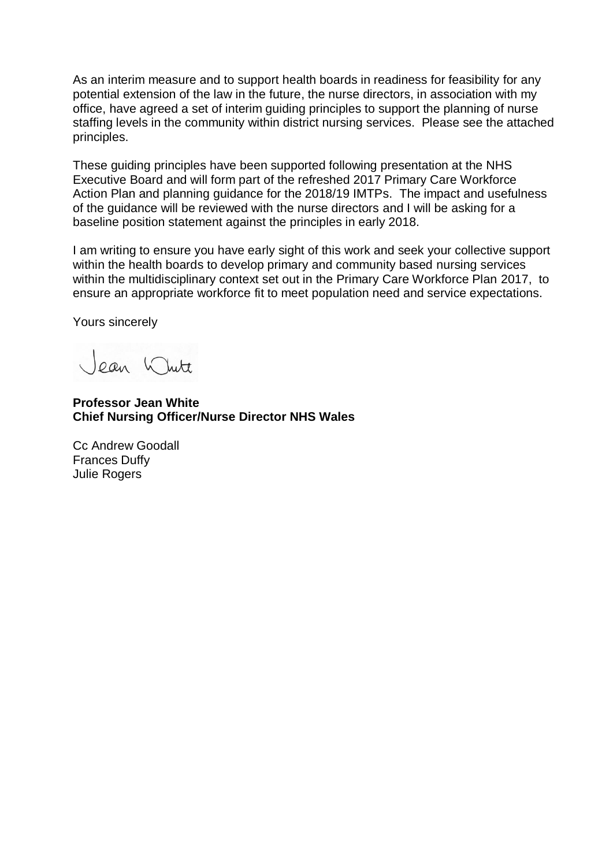As an interim measure and to support health boards in readiness for feasibility for any potential extension of the law in the future, the nurse directors, in association with my office, have agreed a set of interim guiding principles to support the planning of nurse staffing levels in the community within district nursing services. Please see the attached principles.

These guiding principles have been supported following presentation at the NHS Executive Board and will form part of the refreshed 2017 Primary Care Workforce Action Plan and planning guidance for the 2018/19 IMTPs. The impact and usefulness of the guidance will be reviewed with the nurse directors and I will be asking for a baseline position statement against the principles in early 2018.

I am writing to ensure you have early sight of this work and seek your collective support within the health boards to develop primary and community based nursing services within the multidisciplinary context set out in the Primary Care Workforce Plan 2017, to ensure an appropriate workforce fit to meet population need and service expectations.

Yours sincerely

ean White

**Professor Jean White Chief Nursing Officer/Nurse Director NHS Wales**

Cc Andrew Goodall Frances Duffy Julie Rogers